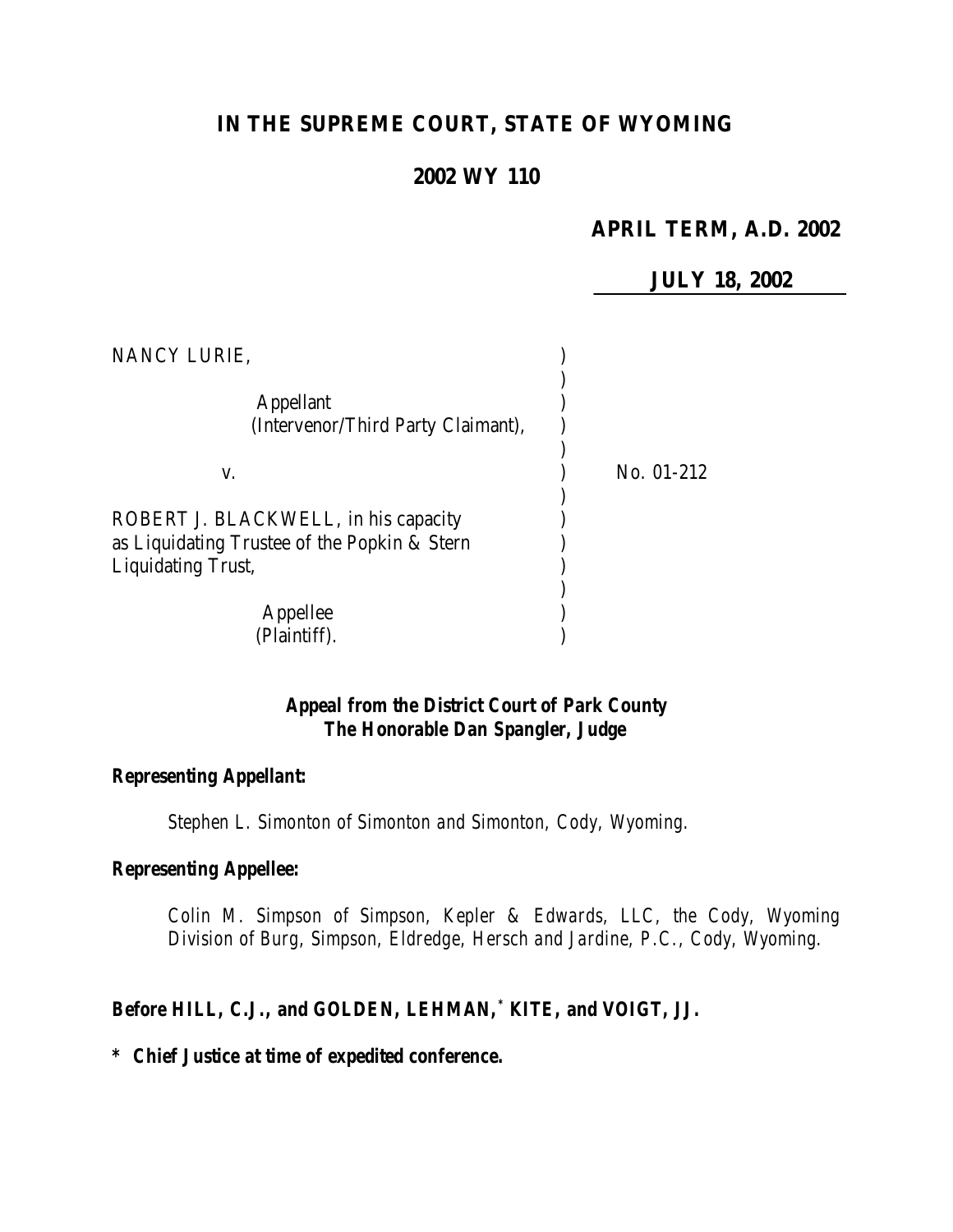# **IN THE SUPREME COURT, STATE OF WYOMING**

## **2002 WY 110**

## **APRIL TERM, A.D. 2002**

**JULY 18, 2002**

| NANCY LURIE,                                                                                                      |              |
|-------------------------------------------------------------------------------------------------------------------|--------------|
| <b>Appellant</b><br>(Intervenor/Third Party Claimant),                                                            |              |
| V.                                                                                                                | No. $01-212$ |
| ROBERT J. BLACKWELL, in his capacity<br>as Liquidating Trustee of the Popkin & Stern<br><b>Liquidating Trust,</b> |              |
| Appellee<br>(Plaintiff).                                                                                          |              |

## *Appeal from the District Court of Park County The Honorable Dan Spangler, Judge*

#### *Representing Appellant:*

*Stephen L. Simonton of Simonton and Simonton, Cody, Wyoming.*

#### *Representing Appellee:*

*Colin M. Simpson of Simpson, Kepler & Edwards, LLC, the Cody, Wyoming Division of Burg, Simpson, Eldredge, Hersch and Jardine, P.C., Cody, Wyoming.*

#### *Before HILL, C.J., and GOLDEN, LEHMAN,\* KITE, and VOIGT, JJ.*

*\* Chief Justice at time of expedited conference.*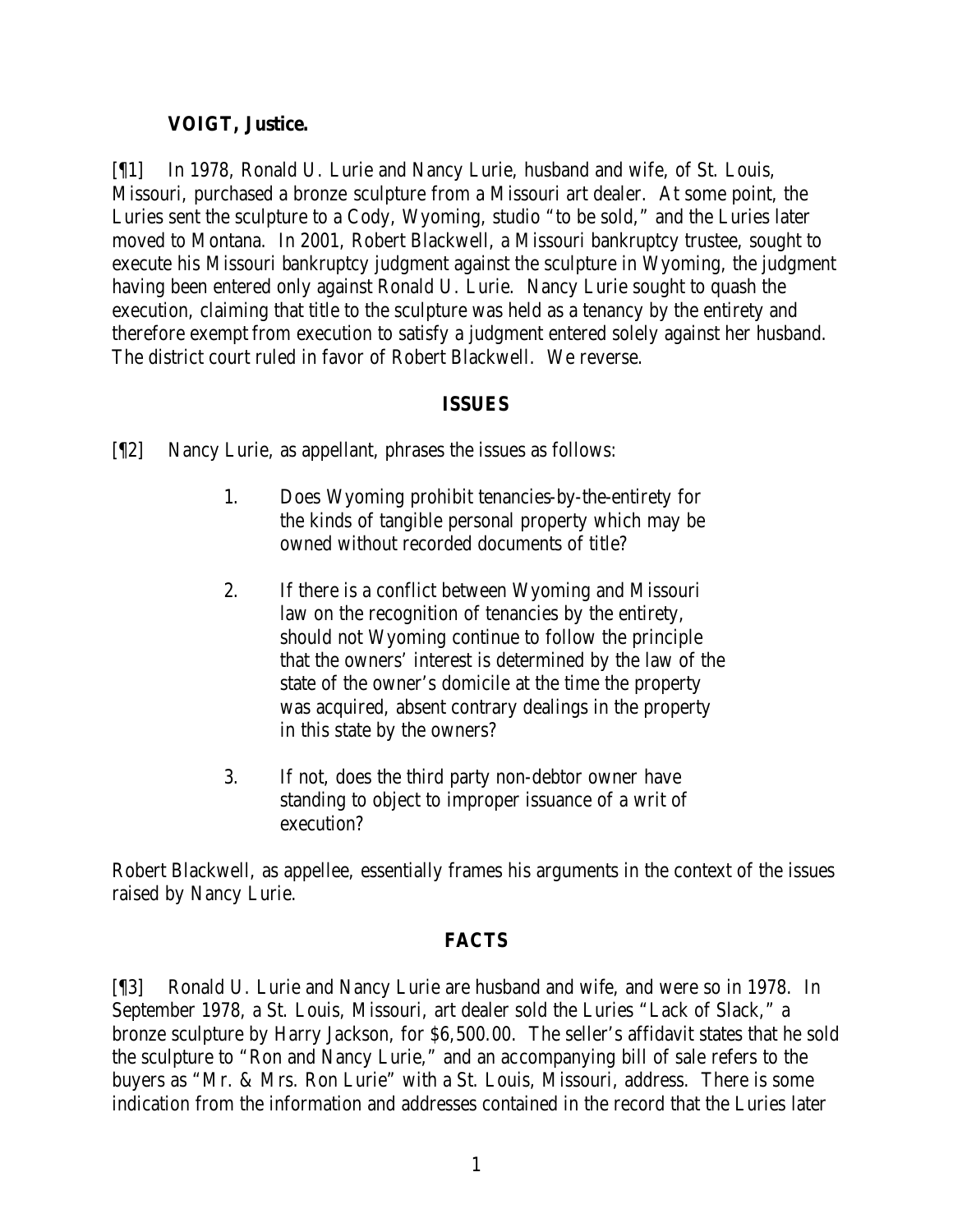### **VOIGT, Justice.**

[¶1] In 1978, Ronald U. Lurie and Nancy Lurie, husband and wife, of St. Louis, Missouri, purchased a bronze sculpture from a Missouri art dealer. At some point, the Luries sent the sculpture to a Cody, Wyoming, studio "to be sold," and the Luries later moved to Montana. In 2001, Robert Blackwell, a Missouri bankruptcy trustee, sought to execute his Missouri bankruptcy judgment against the sculpture in Wyoming, the judgment having been entered only against Ronald U. Lurie. Nancy Lurie sought to quash the execution, claiming that title to the sculpture was held as a tenancy by the entirety and therefore exempt from execution to satisfy a judgment entered solely against her husband. The district court ruled in favor of Robert Blackwell. We reverse.

### **ISSUES**

[¶2] Nancy Lurie, as appellant, phrases the issues as follows:

- 1. Does Wyoming prohibit tenancies-by-the-entirety for the kinds of tangible personal property which may be owned without recorded documents of title?
- 2. If there is a conflict between Wyoming and Missouri law on the recognition of tenancies by the entirety, should not Wyoming continue to follow the principle that the owners' interest is determined by the law of the state of the owner's domicile at the time the property was acquired, absent contrary dealings in the property in this state by the owners?
- 3. If not, does the third party non-debtor owner have standing to object to improper issuance of a writ of execution?

Robert Blackwell, as appellee, essentially frames his arguments in the context of the issues raised by Nancy Lurie.

## **FACTS**

[¶3] Ronald U. Lurie and Nancy Lurie are husband and wife, and were so in 1978. In September 1978, a St. Louis, Missouri, art dealer sold the Luries "Lack of Slack," a bronze sculpture by Harry Jackson, for \$6,500.00. The seller's affidavit states that he sold the sculpture to "Ron and Nancy Lurie," and an accompanying bill of sale refers to the buyers as "Mr. & Mrs. Ron Lurie" with a St. Louis, Missouri, address. There is some indication from the information and addresses contained in the record that the Luries later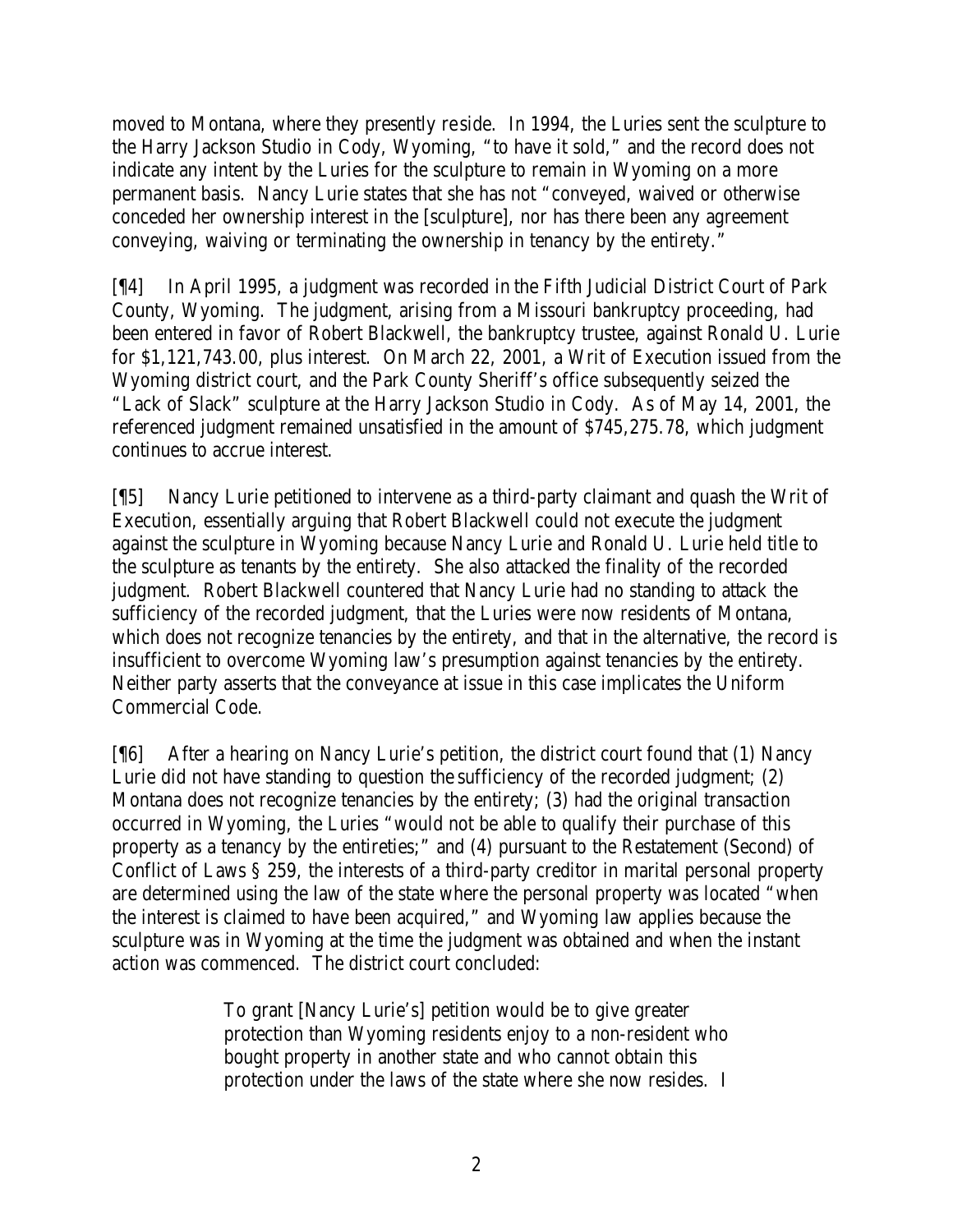moved to Montana, where they presently reside. In 1994, the Luries sent the sculpture to the Harry Jackson Studio in Cody, Wyoming, "to have it sold," and the record does not indicate any intent by the Luries for the sculpture to remain in Wyoming on a more permanent basis. Nancy Lurie states that she has not "conveyed, waived or otherwise conceded her ownership interest in the [sculpture], nor has there been any agreement conveying, waiving or terminating the ownership in tenancy by the entirety."

[¶4] In April 1995, a judgment was recorded in the Fifth Judicial District Court of Park County, Wyoming. The judgment, arising from a Missouri bankruptcy proceeding, had been entered in favor of Robert Blackwell, the bankruptcy trustee, against Ronald U. Lurie for \$1,121,743.00, plus interest. On March 22, 2001, a Writ of Execution issued from the Wyoming district court, and the Park County Sheriff's office subsequently seized the "Lack of Slack" sculpture at the Harry Jackson Studio in Cody. As of May 14, 2001, the referenced judgment remained unsatisfied in the amount of \$745,275.78, which judgment continues to accrue interest.

[¶5] Nancy Lurie petitioned to intervene as a third-party claimant and quash the Writ of Execution, essentially arguing that Robert Blackwell could not execute the judgment against the sculpture in Wyoming because Nancy Lurie and Ronald U. Lurie held title to the sculpture as tenants by the entirety. She also attacked the finality of the recorded judgment. Robert Blackwell countered that Nancy Lurie had no standing to attack the sufficiency of the recorded judgment, that the Luries were now residents of Montana, which does not recognize tenancies by the entirety, and that in the alternative, the record is insufficient to overcome Wyoming law's presumption against tenancies by the entirety. Neither party asserts that the conveyance at issue in this case implicates the Uniform Commercial Code.

[¶6] After a hearing on Nancy Lurie's petition, the district court found that (1) Nancy Lurie did not have standing to question the sufficiency of the recorded judgment; (2) Montana does not recognize tenancies by the entirety; (3) had the original transaction occurred in Wyoming, the Luries "would not be able to qualify their purchase of this property as a tenancy by the entireties;" and (4) pursuant to the Restatement (Second) of Conflict of Laws § 259, the interests of a third-party creditor in marital personal property are determined using the law of the state where the personal property was located "when the interest is claimed to have been acquired," and Wyoming law applies because the sculpture was in Wyoming at the time the judgment was obtained and when the instant action was commenced. The district court concluded:

> To grant [Nancy Lurie's] petition would be to give greater protection than Wyoming residents enjoy to a non-resident who bought property in another state and who cannot obtain this protection under the laws of the state where she now resides. I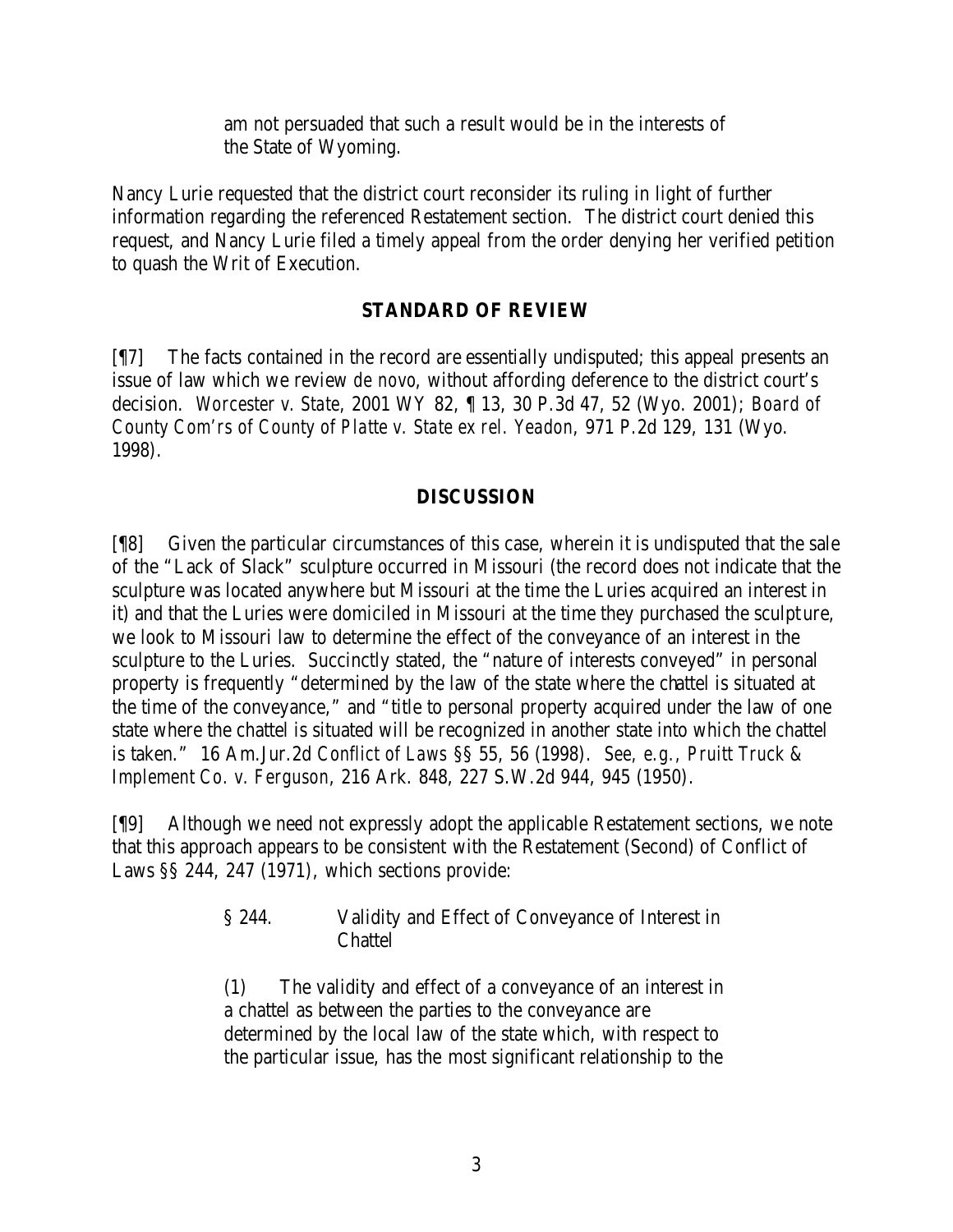am not persuaded that such a result would be in the interests of the State of Wyoming.

Nancy Lurie requested that the district court reconsider its ruling in light of further information regarding the referenced Restatement section. The district court denied this request, and Nancy Lurie filed a timely appeal from the order denying her verified petition to quash the Writ of Execution.

## **STANDARD OF REVIEW**

[¶7] The facts contained in the record are essentially undisputed; this appeal presents an issue of law which we review *de novo*, without affording deference to the district court's decision. *Worcester v. State*, 2001 WY 82, ¶ 13, 30 P.3d 47, 52 (Wyo. 2001); *Board of County Com'rs of County of Platte v. State ex rel. Yeadon*, 971 P.2d 129, 131 (Wyo. 1998).

## **DISCUSSION**

[¶8] Given the particular circumstances of this case, wherein it is undisputed that the sale of the "Lack of Slack" sculpture occurred in Missouri (the record does not indicate that the sculpture was located anywhere but Missouri at the time the Luries acquired an interest in it) and that the Luries were domiciled in Missouri at the time they purchased the sculpture, we look to Missouri law to determine the effect of the conveyance of an interest in the sculpture to the Luries. Succinctly stated, the "nature of interests conveyed" in personal property is frequently "determined by the law of the state where the chattel is situated at the time of the conveyance," and "title to personal property acquired under the law of one state where the chattel is situated will be recognized in another state into which the chattel is taken." 16 Am.Jur.2d *Conflict of Laws* §§ 55, 56 (1998). *See, e.g., Pruitt Truck & Implement Co. v. Ferguson*, 216 Ark. 848, 227 S.W.2d 944, 945 (1950).

[¶9] Although we need not expressly adopt the applicable Restatement sections, we note that this approach appears to be consistent with the Restatement (Second) of Conflict of Laws §§ 244, 247 (1971), which sections provide:

> § 244. Validity and Effect of Conveyance of Interest in **Chattel**

> (1) The validity and effect of a conveyance of an interest in a chattel as between the parties to the conveyance are determined by the local law of the state which, with respect to the particular issue, has the most significant relationship to the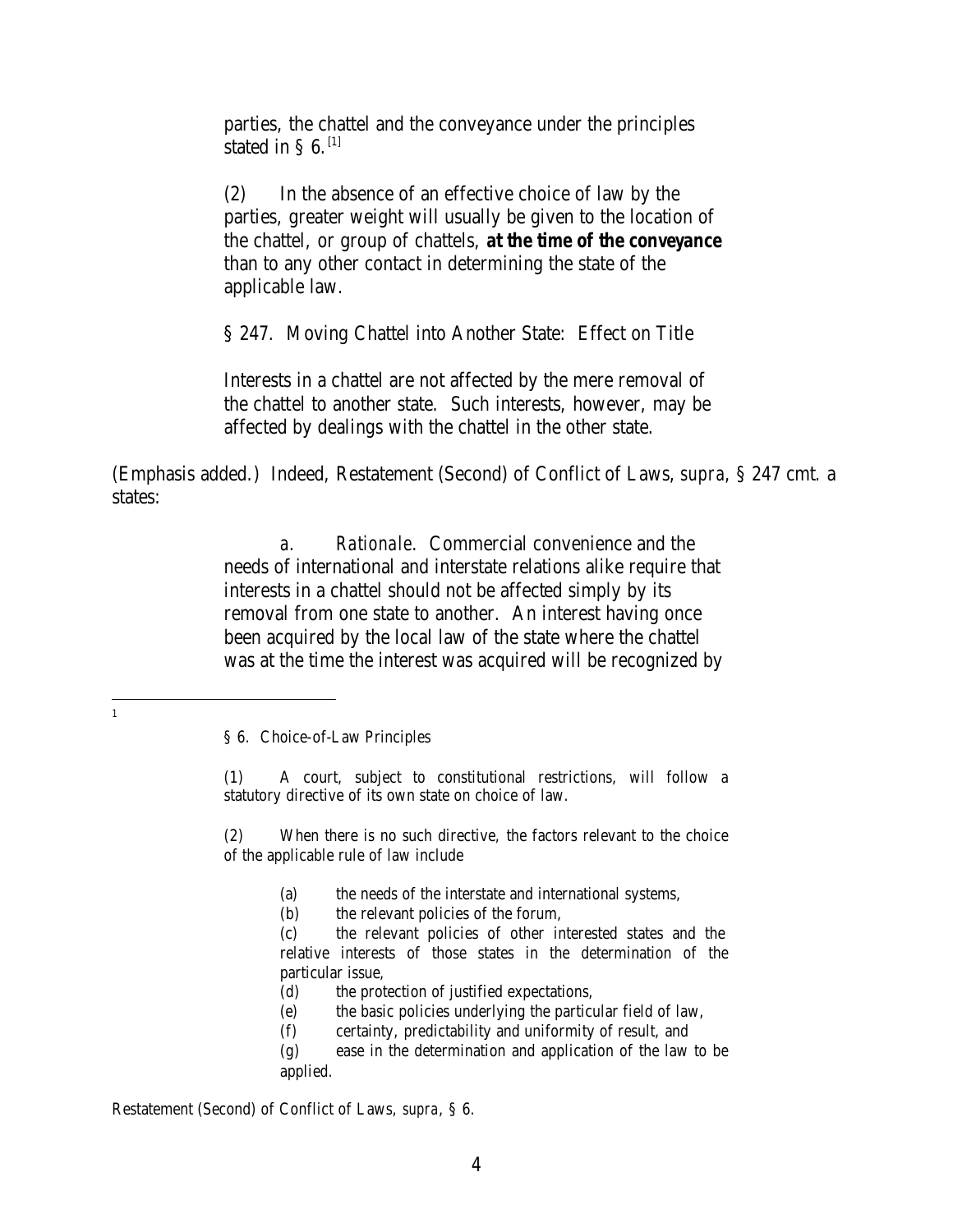parties, the chattel and the conveyance under the principles stated in §  $6.$ <sup>[1]</sup>

(2) In the absence of an effective choice of law by the parties, greater weight will usually be given to the location of the chattel, or group of chattels, *at the time of the conveyance* than to any other contact in determining the state of the applicable law.

§ 247. Moving Chattel into Another State: Effect on Title

Interests in a chattel are not affected by the mere removal of the chattel to another state. Such interests, however, may be affected by dealings with the chattel in the other state.

(Emphasis added.) Indeed, Restatement (Second) of Conflict of Laws, *supra*, § 247 cmt. a states:

> *a. Rationale*. Commercial convenience and the needs of international and interstate relations alike require that interests in a chattel should not be affected simply by its removal from one state to another. An interest having once been acquired by the local law of the state where the chattel was at the time the interest was acquired will be recognized by

 1

> (1) A court, subject to constitutional restrictions, will follow a statutory directive of its own state on choice of law.

> (2) When there is no such directive, the factors relevant to the choice of the applicable rule of law include

> > (a) the needs of the interstate and international systems,

(b) the relevant policies of the forum,

(c) the relevant policies of other interested states and the relative interests of those states in the determination of the particular issue,

(d) the protection of justified expectations,

(e) the basic policies underlying the particular field of law,

(f) certainty, predictability and uniformity of result, and

(g) ease in the determination and application of the law to be applied.

Restatement (Second) of Conflict of Laws, *supra*, § 6.

<sup>§ 6.</sup> Choice-of-Law Principles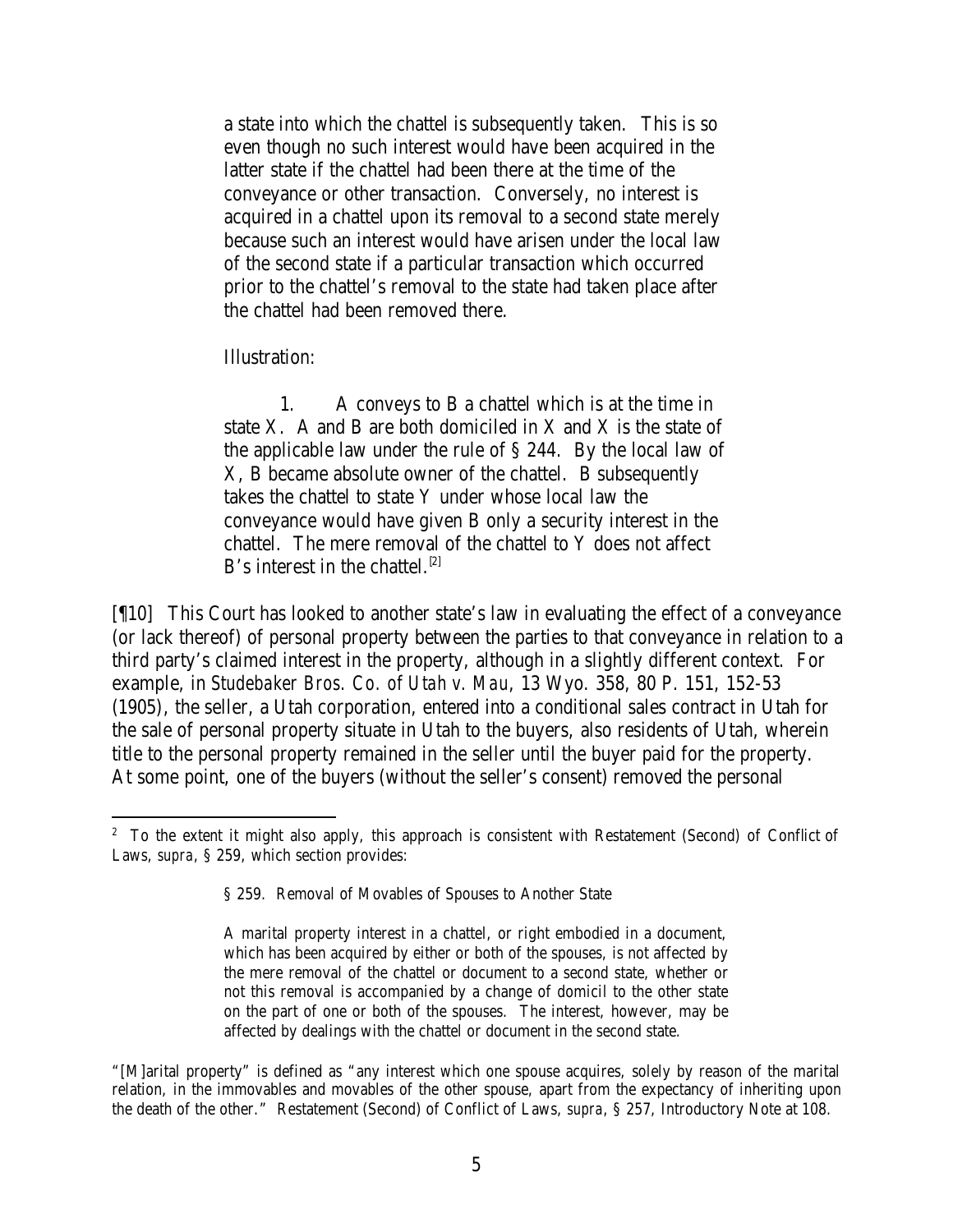a state into which the chattel is subsequently taken. This is so even though no such interest would have been acquired in the latter state if the chattel had been there at the time of the conveyance or other transaction. Conversely, no interest is acquired in a chattel upon its removal to a second state merely because such an interest would have arisen under the local law of the second state if a particular transaction which occurred prior to the chattel's removal to the state had taken place after the chattel had been removed there.

Illustration:

1. A conveys to B a chattel which is at the time in state X. A and B are both domiciled in X and X is the state of the applicable law under the rule of § 244. By the local law of X, B became absolute owner of the chattel. B subsequently takes the chattel to state Y under whose local law the conveyance would have given B only a security interest in the chattel. The mere removal of the chattel to Y does not affect B's interest in the chattel.<sup>[2]</sup>

[¶10] This Court has looked to another state's law in evaluating the effect of a conveyance (or lack thereof) of personal property between the parties to that conveyance in relation to a third party's claimed interest in the property, although in a slightly different context. For example, in *Studebaker Bros. Co. of Utah v. Mau*, 13 Wyo. 358, 80 P. 151, 152-53 (1905), the seller, a Utah corporation, entered into a conditional sales contract in Utah for the sale of personal property situate in Utah to the buyers, also residents of Utah, wherein title to the personal property remained in the seller until the buyer paid for the property. At some point, one of the buyers (without the seller's consent) removed the personal

<sup>&</sup>lt;sup>2</sup> To the extent it might also apply, this approach is consistent with Restatement (Second) of Conflict of Laws, *supra*, § 259, which section provides:

<sup>§ 259.</sup> Removal of Movables of Spouses to Another State

A marital property interest in a chattel, or right embodied in a document, which has been acquired by either or both of the spouses, is not affected by the mere removal of the chattel or document to a second state, whether or not this removal is accompanied by a change of domicil to the other state on the part of one or both of the spouses. The interest, however, may be affected by dealings with the chattel or document in the second state.

<sup>&</sup>quot;[M]arital property" is defined as "any interest which one spouse acquires, solely by reason of the marital relation, in the immovables and movables of the other spouse, apart from the expectancy of inheriting upon the death of the other." Restatement (Second) of Conflict of Laws, *supra*, § 257, Introductory Note at 108.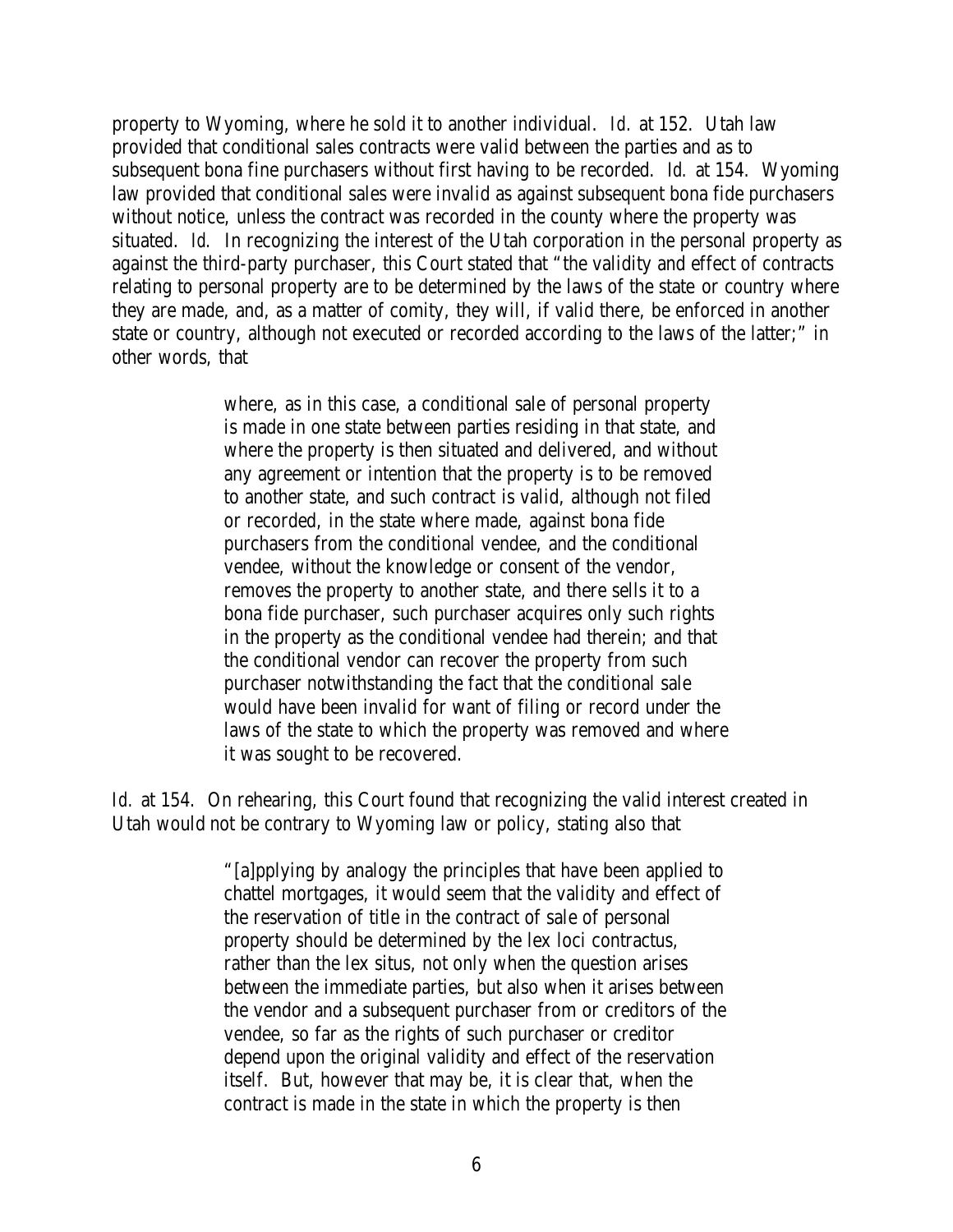property to Wyoming, where he sold it to another individual. *Id.* at 152. Utah law provided that conditional sales contracts were valid between the parties and as to subsequent bona fine purchasers without first having to be recorded. *Id.* at 154. Wyoming law provided that conditional sales were invalid as against subsequent bona fide purchasers without notice, unless the contract was recorded in the county where the property was situated. *Id.* In recognizing the interest of the Utah corporation in the personal property as against the third-party purchaser, this Court stated that "the validity and effect of contracts relating to personal property are to be determined by the laws of the state or country where they are made, and, as a matter of comity, they will, if valid there, be enforced in another state or country, although not executed or recorded according to the laws of the latter;" in other words, that

> where, as in this case, a conditional sale of personal property is made in one state between parties residing in that state, and where the property is then situated and delivered, and without any agreement or intention that the property is to be removed to another state, and such contract is valid, although not filed or recorded, in the state where made, against bona fide purchasers from the conditional vendee, and the conditional vendee, without the knowledge or consent of the vendor, removes the property to another state, and there sells it to a bona fide purchaser, such purchaser acquires only such rights in the property as the conditional vendee had therein; and that the conditional vendor can recover the property from such purchaser notwithstanding the fact that the conditional sale would have been invalid for want of filing or record under the laws of the state to which the property was removed and where it was sought to be recovered.

*Id.* at 154. On rehearing, this Court found that recognizing the valid interest created in Utah would not be contrary to Wyoming law or policy, stating also that

> "[a]pplying by analogy the principles that have been applied to chattel mortgages, it would seem that the validity and effect of the reservation of title in the contract of sale of personal property should be determined by the lex loci contractus, rather than the lex situs, not only when the question arises between the immediate parties, but also when it arises between the vendor and a subsequent purchaser from or creditors of the vendee, so far as the rights of such purchaser or creditor depend upon the original validity and effect of the reservation itself. But, however that may be, it is clear that, when the contract is made in the state in which the property is then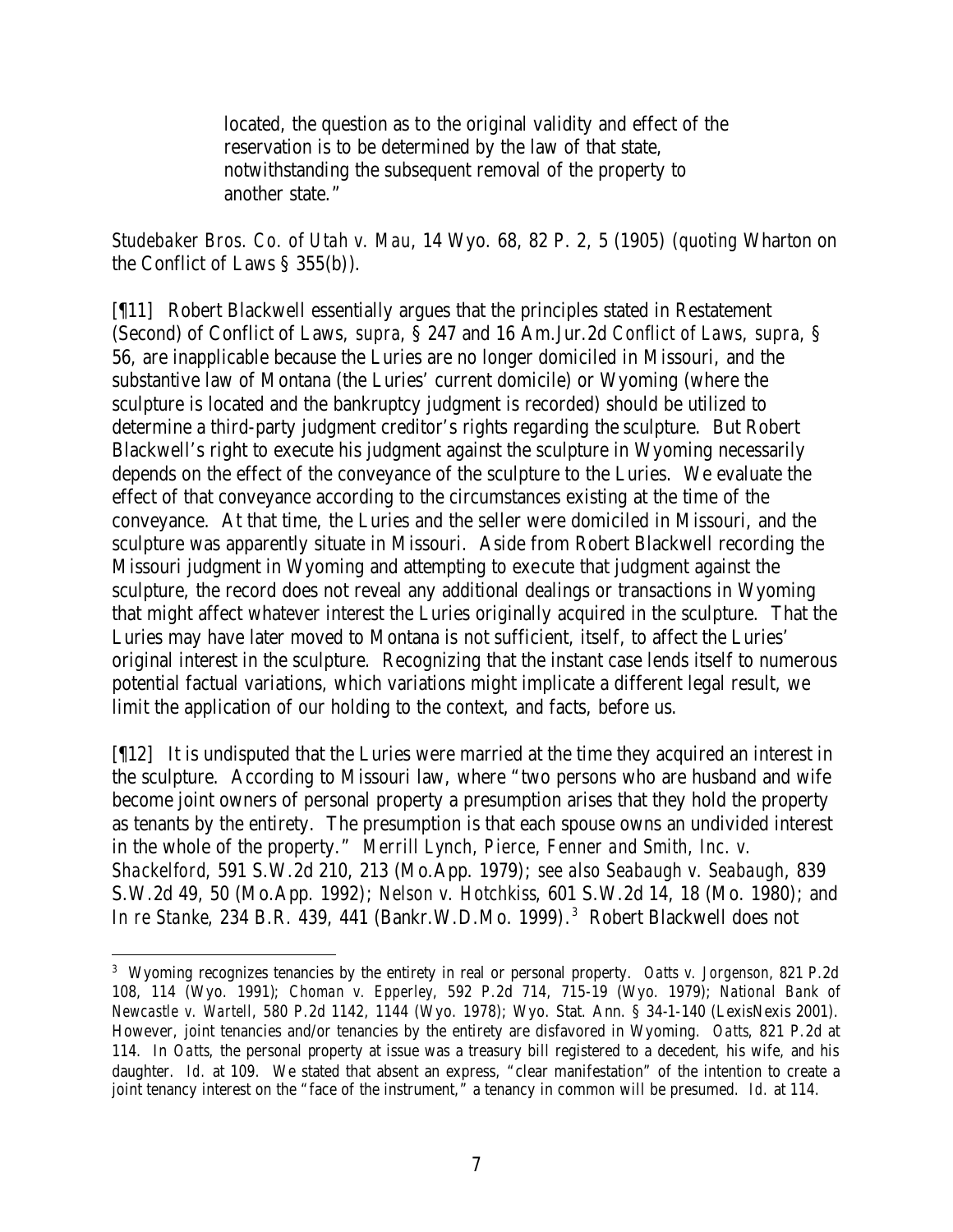located, the question as to the original validity and effect of the reservation is to be determined by the law of that state, notwithstanding the subsequent removal of the property to another state."

*Studebaker Bros. Co. of Utah v. Mau*, 14 Wyo. 68, 82 P. 2, 5 (1905) (*quoting* Wharton on the Conflict of Laws § 355(b)).

[¶11] Robert Blackwell essentially argues that the principles stated in Restatement (Second) of Conflict of Laws, *supra*, § 247 and 16 Am.Jur.2d *Conflict of Laws*, *supra*, § 56, are inapplicable because the Luries are no longer domiciled in Missouri, and the substantive law of Montana (the Luries' current domicile) or Wyoming (where the sculpture is located and the bankruptcy judgment is recorded) should be utilized to determine a third-party judgment creditor's rights regarding the sculpture. But Robert Blackwell's right to execute his judgment against the sculpture in Wyoming necessarily depends on the effect of the conveyance of the sculpture to the Luries. We evaluate the effect of that conveyance according to the circumstances existing at the time of the conveyance. At that time, the Luries and the seller were domiciled in Missouri, and the sculpture was apparently situate in Missouri. Aside from Robert Blackwell recording the Missouri judgment in Wyoming and attempting to execute that judgment against the sculpture, the record does not reveal any additional dealings or transactions in Wyoming that might affect whatever interest the Luries originally acquired in the sculpture. That the Luries may have later moved to Montana is not sufficient, itself, to affect the Luries' original interest in the sculpture. Recognizing that the instant case lends itself to numerous potential factual variations, which variations might implicate a different legal result, we limit the application of our holding to the context, and facts, before us.

[¶12] It is undisputed that the Luries were married at the time they acquired an interest in the sculpture. According to Missouri law, where "two persons who are husband and wife become joint owners of personal property a presumption arises that they hold the property as tenants by the entirety. The presumption is that each spouse owns an undivided interest in the whole of the property." *Merrill Lynch, Pierce, Fenner and Smith, Inc. v. Shackelford*, 591 S.W.2d 210, 213 (Mo.App. 1979); *see also Seabaugh v. Seabaugh*, 839 S.W.2d 49, 50 (Mo.App. 1992); *Nelson v. Hotchkiss*, 601 S.W.2d 14, 18 (Mo. 1980); and *In re Stanke*, 234 B.R. 439, 441 (Bankr.W.D.Mo. 1999). 3 Robert Blackwell does not

<sup>3</sup> Wyoming recognizes tenancies by the entirety in real or personal property. *Oatts v. Jorgenson*, 821 P.2d 108, 114 (Wyo. 1991); *Choman v. Epperley*, 592 P.2d 714, 715-19 (Wyo. 1979); *National Bank of Newcastle v. Wartell*, 580 P.2d 1142, 1144 (Wyo. 1978); Wyo. Stat. Ann. § 34-1-140 (LexisNexis 2001). However, joint tenancies and/or tenancies by the entirety are disfavored in Wyoming. *Oatts*, 821 P.2d at 114. In *Oatts*, the personal property at issue was a treasury bill registered to a decedent, his wife, and his daughter. *Id.* at 109. We stated that absent an express, "clear manifestation" of the intention to create a joint tenancy interest on the "face of the instrument," a tenancy in common will be presumed. *Id.* at 114.